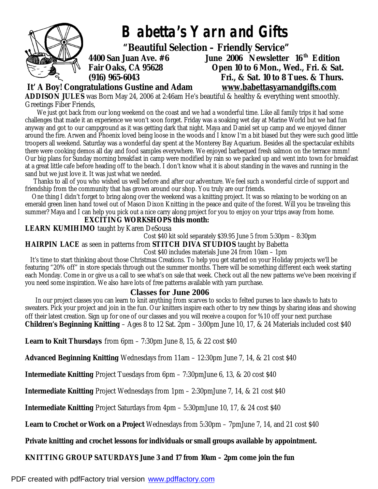

 **It' A Boy! Congratulations Gustine and Adam [www.babettasyarnandgifts.com](http://www.babettasyarnandgifts.com)**

**ADDISON JULES** was Born May 24, 2006 at 2:46am He's beautiful & healthy & everything went smoothly. Greetings Fiber Friends,

 We just got back from our long weekend on the coast and we had a wonderful time. Like all family trips it had some challenges that made it an experience we won't soon forget. Friday was a soaking wet day at Marine World but we had fun anyway and got to our campground as it was getting dark that night. Maya and Daniel set up camp and we enjoyed dinner around the fire. Arwen and Phoenix loved being loose in the woods and I know I'm a bit biased but they were such good little troopers all weekend. Saturday was a wonderful day spent at the Monterey Bay Aquarium. Besides all the spectacular exhibits there were cooking demos all day and food samples everywhere. We enjoyed barbequed fresh salmon on the terrace mmm! Our big plans for Sunday morning breakfast in camp were modified by rain so we packed up and went into town for breakfast at a great little cafe before heading off to the beach. I don't know what it is about standing in the waves and running in the sand but we just love it. It was just what we needed.

 Thanks to all of you who wished us well before and after our adventure. We feel such a wonderful circle of support and friendship from the community that has grown around our shop. You truly are our friends.

 One thing I didn't forget to bring along over the weekend was a knitting project. It was so relaxing to be working on an emerald green linen hand towel out of Mason Dixon Knitting in the peace and quite of the forest. Will you be traveling this summer? Maya and I can help you pick out a nice carry along project for you to enjoy on your trips away from home.

#### **EXCITING WORKSHOPS this month:**

**LEARN KUMIHIMO** taught by Karen DeSousa

Cost \$40 kit sold separately \$39.95 June 5 from 5:30pm – 8:30pm

**HAIRPIN LACE** as seen in patterns from **STITCH DIVA STUDIOS** taught by Babetta

#### Cost \$40 includes materials June 24 from 10am – 1pm

 It's time to start thinking about those Christmas Creations. To help you get started on your Holiday projects we'll be featuring "20% off" in store specials through out the summer months. There will be something different each week starting each Monday. Come in or give us a call to see what's on sale that week. Check out all the new patterns we've been receiving if you need some inspiration. We also have lots of free patterns available with yarn purchase.

## **Classes for June 2006**

 In our project classes you can learn to knit anything from scarves to socks to felted purses to lace shawls to hats to sweaters. Pick your project and join in the fun. Our knitters inspire each other to try new things by sharing ideas and showing off their latest creation. Sign up for one of our classes and you will receive a coupon for %10 off your next purchase. **Children's Beginning Knitting** – Ages 8 to 12 Sat. 2pm – 3:00pm June 10, 17, & 24 Materials included cost \$40

**Learn to Knit Thursdays** from 6pm – 7:30pm June 8, 15, & 22 cost \$40

**Advanced Beginning Knitting** Wednesdays from 11am – 12:30pm June 7, 14, & 21 cost \$40

**Intermediate Knitting** Project Tuesdays from 6pm – 7:30pmJune 6, 13, & 20 cost \$40

**Intermediate Knitting** Project Wednesdays from 1pm – 2:30pmJune 7, 14, & 21 cost \$40

**Intermediate Knitting** Project Saturdays from 4pm – 5:30pmJune 10, 17, & 24 cost \$40

**Learn to Crochet or Work on a Project** Wednesdays from 5:30pm – 7pmJune 7, 14, and 21 cost \$40

## **Private knitting and crochet lessons for individuals or small groups available by appointment.**

## **KNITTING GROUP SATURDAYS June 3 and 17 from 10am – 2pm come join the fun**